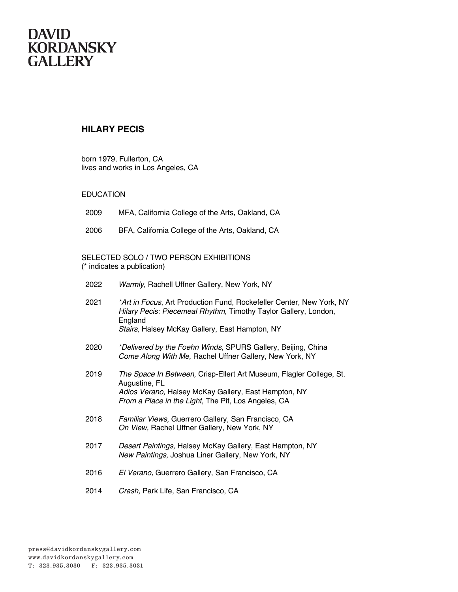#### **HILARY PECIS**

born 1979, Fullerton, CA lives and works in Los Angeles, CA

#### **EDUCATION**

- 2009 MFA, California College of the Arts, Oakland, CA
- 2006 BFA, California College of the Arts, Oakland, CA

#### SELECTED SOLO / TWO PERSON EXHIBITIONS (\* indicates a publication)

- 2022 *Warmly*, Rachell Uffner Gallery, New York, NY 2021 *\*Art in Focus*, Art Production Fund, Rockefeller Center, New York, NY *Hilary Pecis: Piecemeal Rhythm*, Timothy Taylor Gallery, London, England *Stairs,* Halsey McKay Gallery, East Hampton, NY 2020 *\*Delivered by the Foehn Winds*, SPURS Gallery, Beijing, China *Come Along With Me,* Rachel Uffner Gallery, New York, NY 2019 *The Space In Between,* Crisp-Ellert Art Museum, Flagler College, St. Augustine, FL *Adios Verano,* Halsey McKay Gallery, East Hampton, NY *From a Place in the Light,* The Pit, Los Angeles, CA 2018 *Familiar Views,* Guerrero Gallery, San Francisco, CA *On View,* Rachel Uffner Gallery, New York, NY 2017 *Desert Paintings,* Halsey McKay Gallery, East Hampton, NY *New Paintings,* Joshua Liner Gallery, New York, NY 2016 *El Verano,* Guerrero Gallery, San Francisco, CA
- 2014 *Crash,* Park Life, San Francisco, CA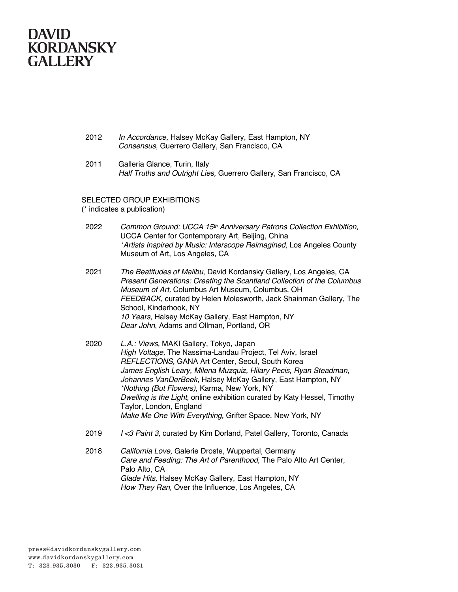- 2012 *In Accordance,* Halsey McKay Gallery, East Hampton, NY *Consensus,* Guerrero Gallery, San Francisco, CA
- 2011 Galleria Glance, Turin, Italy *Half Truths and Outright Lies,* Guerrero Gallery, San Francisco, CA

#### SELECTED GROUP EXHIBITIONS

(\* indicates a publication)

- 2022 *Common Ground: UCCA 15th Anniversary Patrons Collection Exhibition,*  UCCA Center for Contemporary Art, Beijing, China *\*Artists Inspired by Music: Interscope Reimagined*, Los Angeles County Museum of Art, Los Angeles, CA
- 2021 *The Beatitudes of Malibu*, David Kordansky Gallery, Los Angeles, CA *Present Generations: Creating the Scantland Collection of the Columbus Museum of Art,* Columbus Art Museum, Columbus, OH *FEEDBACK*, curated by Helen Molesworth, Jack Shainman Gallery, The School, Kinderhook, NY *10 Years*, Halsey McKay Gallery, East Hampton, NY *Dear John*, Adams and Ollman, Portland, OR
- 2020 *L.A.: Views,* MAKI Gallery, Tokyo, Japan *High Voltage,* The Nassima-Landau Project, Tel Aviv, Israel *REFLECTIONS,* GANA Art Center, Seoul, South Korea *James English Leary, Milena Muzquiz, Hilary Pecis, Ryan Steadman, Johannes VanDerBeek,* Halsey McKay Gallery, East Hampton, NY *\*Nothing (But Flowers),* Karma, New York, NY *Dwelling is the Light,* online exhibition curated by Katy Hessel, Timothy Taylor, London, England *Make Me One With Everything,* Grifter Space, New York, NY
- 2019 *I <3 Paint 3,* curated by Kim Dorland, Patel Gallery, Toronto, Canada
- 2018 *California Love,* Galerie Droste, Wuppertal, Germany *Care and Feeding: The Art of Parenthood,* The Palo Alto Art Center, Palo Alto, CA *Glade Hits,* Halsey McKay Gallery, East Hampton, NY *How They Ran,* Over the Influence, Los Angeles, CA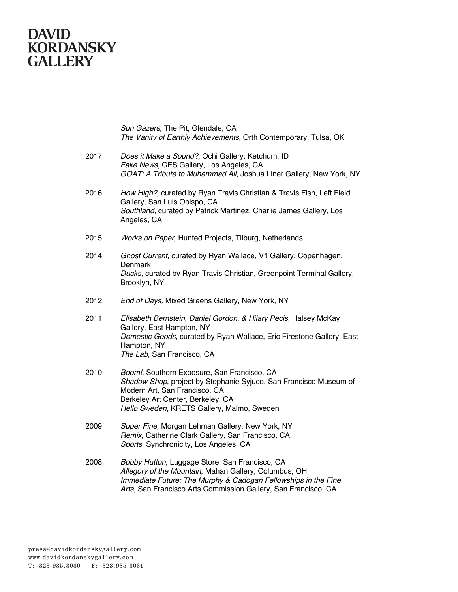# **DAVID<br>KORDANSKY<br>GALLERY**

*Sun Gazers,* The Pit, Glendale, CA *The Vanity of Earthly Achievements,* Orth Contemporary, Tulsa, OK

| 2017 | Does it Make a Sound?, Ochi Gallery, Ketchum, ID<br>Fake News, CES Gallery, Los Angeles, CA<br>GOAT: A Tribute to Muhammad Ali, Joshua Liner Gallery, New York, NY                                                                          |
|------|---------------------------------------------------------------------------------------------------------------------------------------------------------------------------------------------------------------------------------------------|
| 2016 | How High?, curated by Ryan Travis Christian & Travis Fish, Left Field<br>Gallery, San Luis Obispo, CA<br>Southland, curated by Patrick Martinez, Charlie James Gallery, Los<br>Angeles, CA                                                  |
| 2015 | Works on Paper, Hunted Projects, Tilburg, Netherlands                                                                                                                                                                                       |
| 2014 | Ghost Current, curated by Ryan Wallace, V1 Gallery, Copenhagen,                                                                                                                                                                             |
|      | Denmark<br>Ducks, curated by Ryan Travis Christian, Greenpoint Terminal Gallery,<br>Brooklyn, NY                                                                                                                                            |
| 2012 | End of Days, Mixed Greens Gallery, New York, NY                                                                                                                                                                                             |
| 2011 | Elisabeth Bernstein, Daniel Gordon, & Hilary Pecis, Halsey McKay<br>Gallery, East Hampton, NY<br>Domestic Goods, curated by Ryan Wallace, Eric Firestone Gallery, East<br>Hampton, NY<br>The Lab, San Francisco, CA                         |
| 2010 | Boom!, Southern Exposure, San Francisco, CA<br>Shadow Shop, project by Stephanie Syjuco, San Francisco Museum of<br>Modern Art, San Francisco, CA<br>Berkeley Art Center, Berkeley, CA<br>Hello Sweden, KRETS Gallery, Malmo, Sweden        |
| 2009 | Super Fine, Morgan Lehman Gallery, New York, NY<br>Remix, Catherine Clark Gallery, San Francisco, CA<br>Sports, Synchronicity, Los Angeles, CA                                                                                              |
| 2008 | Bobby Hutton, Luggage Store, San Francisco, CA<br>Allegory of the Mountain, Mahan Gallery, Columbus, OH<br>Immediate Future: The Murphy & Cadogan Fellowships in the Fine<br>Arts, San Francisco Arts Commission Gallery, San Francisco, CA |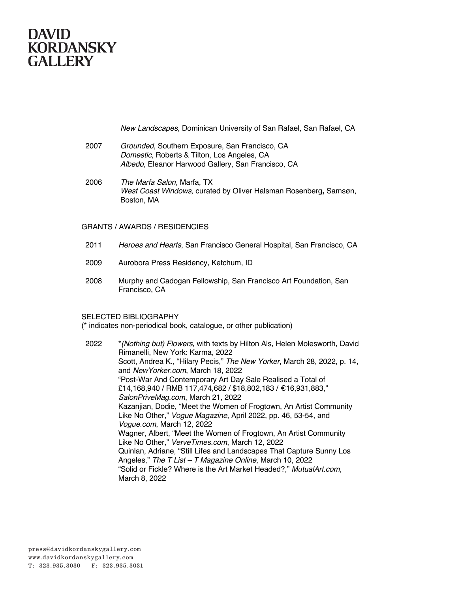*New Landscapes,* Dominican University of San Rafael, San Rafael, CA

- 2007 *Grounded*, Southern Exposure, San Francisco, CA *Domestic*, Roberts & Tilton, Los Angeles, CA *Albedo*, Eleanor Harwood Gallery, San Francisco, CA
- 2006 *The Marfa Salon,* Marfa, TX *West Coast Windows,* curated by Oliver Halsman Rosenberg**,** Samsøn, Boston, MA

#### GRANTS / AWARDS / RESIDENCIES

- 2011 *Heroes and Hearts*, San Francisco General Hospital, San Francisco, CA
- 2009 Aurobora Press Residency, Ketchum, ID
- 2008 Murphy and Cadogan Fellowship, San Francisco Art Foundation, San Francisco, CA

#### SELECTED BIBLIOGRAPHY

(\* indicates non-periodical book, catalogue, or other publication)

2022 \**(Nothing but) Flowers*, with texts by Hilton Als, Helen Molesworth, David Rimanelli, New York: Karma, 2022 Scott, Andrea K., "Hilary Pecis," *The New Yorker*, March 28, 2022, p. 14, and *NewYorker.com*, March 18, 2022 "Post-War And Contemporary Art Day Sale Realised a Total of £14,168,940 / RMB 117,474,682 / \$18,802,183 / €16,931,883," *SalonPriveMag.com*, March 21, 2022 Kazanjian, Dodie, "Meet the Women of Frogtown, An Artist Community Like No Other," *Vogue Magazine*, April 2022, pp. 46, 53-54, and *Vogue.com*, March 12, 2022 Wagner, Albert, "Meet the Women of Frogtown, An Artist Community Like No Other," *VerveTimes.com*, March 12, 2022 Quinlan, Adriane, "Still Lifes and Landscapes That Capture Sunny Los Angeles," *The T List – T Magazine Online*, March 10, 2022 "Solid or Fickle? Where is the Art Market Headed?," *MutualArt.com*, March 8, 2022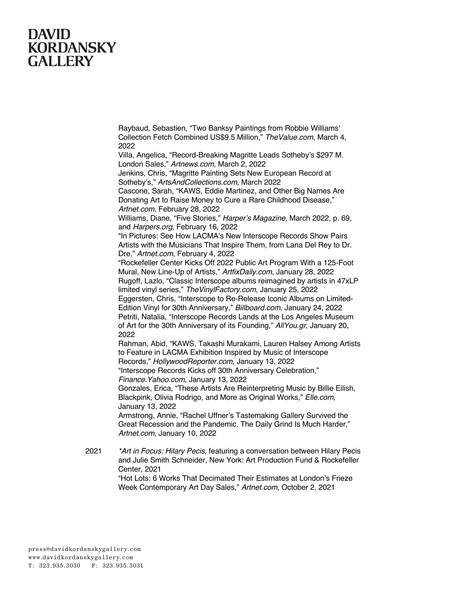Raybaud, Sebastien, "Two Banksy Paintings from Robbie Williams' Collection Fetch Combined US\$9.5 Million," *TheValue.com*, March 4, 2022

Villa, Angelica, "Record-Breaking Magritte Leads Sotheby's \$297 M. London Sales," *Artnews.com*, March 2, 2022

Jenkins, Chris, "Magritte Painting Sets New European Record at Sotheby's," *ArtsAndCollections.com*, March 2022

Cascone, Sarah, "KAWS, Eddie Martinez, and Other Big Names Are Donating Art to Raise Money to Cure a Rare Childhood Disease," *Artnet.com*, February 28, 2022

Williams, Diane, "Five Stories," *Harper's Magazine*, March 2022, p. 69, and *Harpers.org*, February 16, 2022

"In Pictures: See How LACMA's New Interscope Records Show Pairs Artists with the Musicians That Inspire Them, from Lana Del Rey to Dr. Dre," *Artnet.com*, February 4, 2022

"Rockefeller Center Kicks Off 2022 Public Art Program With a 125-Foot Mural, New Line-Up of Artists," *ArtfixDaily.com*, January 28, 2022 Rugoff, Lazlo, "Classic Interscope albums reimagined by artists in 47xLP

limited vinyl series," *TheVinylFactory.com*, January 25, 2022 Eggersten, Chris, "Interscope to Re-Release Iconic Albums on Limited-Edition Vinyl for 30th Anniversary," *Billboard.com*, January 24, 2022 Petriti, Natalia, "Interscope Records Lands at the Los Angeles Museum of Art for the 30th Anniversary of its Founding," *AllYou.gr*, January 20, 2022

Rahman, Abid, "KAWS, Takashi Murakami, Lauren Halsey Among Artists to Feature in LACMA Exhibition Inspired by Music of Interscope Records," *HollywoodReporter.com*, January 13, 2022

"Interscope Records Kicks off 30th Anniversary Celebration," *Finance.Yahoo.com*, January 13, 2022

Gonzales, Erica, "These Artists Are Reinterpreting Music by Billie Eilish, Blackpink, Olivia Rodrigo, and More as Original Works," *Elle.com*, January 13, 2022

Armstrong, Annie, "Rachel Uffner's Tastemaking Gallery Survived the Great Recession and the Pandemic. The Daily Grind Is Much Harder," *Artnet.com*, January 10, 2022

2021 *\*Art in Focus: Hilary Pecis*, featuring a conversation between Hilary Pecis and Julie Smith Schneider, New York: Art Production Fund & Rockefeller Center, 2021 "Hot Lots: 6 Works That Decimated Their Estimates at London's Frieze

Week Contemporary Art Day Sales," *Artnet.com*, October 2, 2021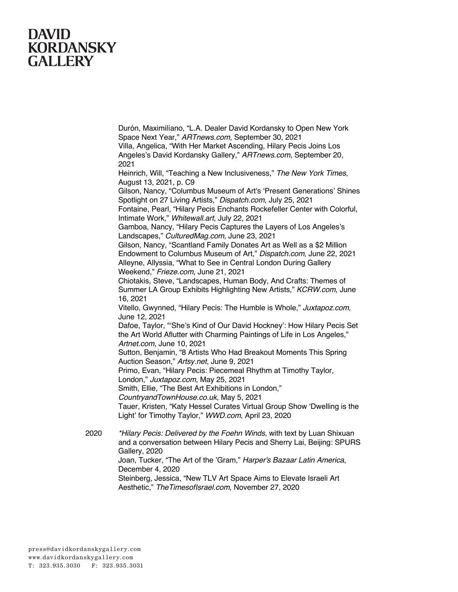Durón, Maximilíano, "L.A. Dealer David Kordansky to Open New York Space Next Year," *ARTnews.com*, September 30, 2021 Villa, Angelica, "With Her Market Ascending, Hilary Pecis Joins Los Angeles's David Kordansky Gallery," *ARTnews.com*, September 20, 2021 Heinrich, Will, "Teaching a New Inclusiveness," *The New York Times*, August 13, 2021, p. C9 Gilson, Nancy, "Columbus Museum of Art's 'Present Generations' Shines Spotlight on 27 Living Artists," *Dispatch.com*, July 25, 2021 Fontaine, Pearl, "Hilary Pecis Enchants Rockefeller Center with Colorful, Intimate Work," *Whitewall.art*, July 22, 2021 Gamboa, Nancy, "Hilary Pecis Captures the Layers of Los Angeles's Landscapes," *CulturedMag.com*, June 23, 2021 Gilson, Nancy, "Scantland Family Donates Art as Well as a \$2 Million Endowment to Columbus Museum of Art," *Dispatch.com*, June 22, 2021 Alleyne, Allyssia, "What to See in Central London During Gallery Weekend," *Frieze.com*, June 21, 2021 Chiotakis, Steve, "Landscapes, Human Body, And Crafts: Themes of Summer LA Group Exhibits Highlighting New Artists," *KCRW.com*, June 16, 2021 Vitello, Gwynned, "Hilary Pecis: The Humble is Whole," *Juxtapoz.com*, June 12, 2021 Dafoe, Taylor, "'She's Kind of Our David Hockney': How Hilary Pecis Set the Art World Aflutter with Charming Paintings of Life in Los Angeles," *Artnet.com,* June 10, 2021 Sutton, Benjamin, "8 Artists Who Had Breakout Moments This Spring Auction Season," *Artsy.net*, June 9, 2021 Primo, Evan, "Hilary Pecis: Piecemeal Rhythm at Timothy Taylor, London," *Juxtapoz.com*, May 25, 2021 Smith, Ellie, "The Best Art Exhibitions in London," *CountryandTownHouse.co.uk*, May 5, 2021 Tauer, Kristen, "Katy Hessel Curates Virtual Group Show 'Dwelling is the Light' for Timothy Taylor," *WWD.com*, April 23, 2020 2020 *\*Hilary Pecis: Delivered by the Foehn Winds*, with text by Luan Shixuan

and a conversation between Hilary Pecis and Sherry Lai, Beijing: SPURS Gallery, 2020 Joan, Tucker, "The Art of the 'Gram," *Harper's Bazaar Latin America*, December 4, 2020 Steinberg, Jessica, "New TLV Art Space Aims to Elevate Israeli Art Aesthetic," *TheTimesofIsrael.com*, November 27, 2020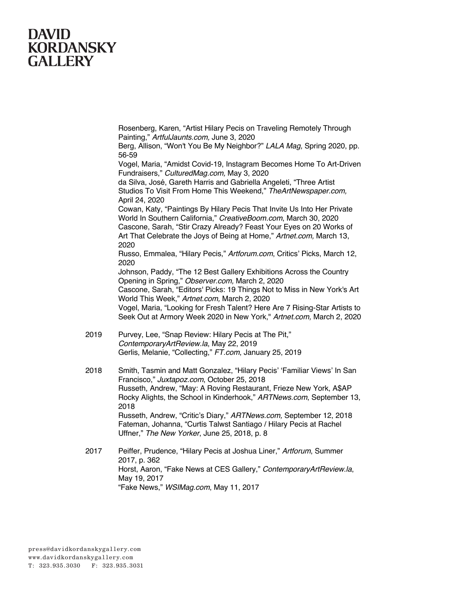Rosenberg, Karen, "Artist Hilary Pecis on Traveling Remotely Through Painting," *ArtfulJaunts.com,* June 3, 2020

Berg, Allison, "Won't You Be My Neighbor?" *LALA Mag,* Spring 2020, pp. 56-59

Vogel, Maria, "Amidst Covid-19, Instagram Becomes Home To Art-Driven Fundraisers," *CulturedMag.com,* May 3, 2020

da Silva, José, Gareth Harris and Gabriella Angeleti, "Three Artist Studios To Visit From Home This Weekend," *TheArtNewspaper.com,* April 24, 2020

Cowan, Katy, "Paintings By Hilary Pecis That Invite Us Into Her Private World In Southern California," *CreativeBoom.com*, March 30, 2020 Cascone, Sarah, "Stir Crazy Already? Feast Your Eyes on 20 Works of Art That Celebrate the Joys of Being at Home," *Artnet.com,* March 13, 2020

Russo, Emmalea, "Hilary Pecis," *Artforum.com*, Critics' Picks, March 12, 2020

Johnson, Paddy, "The 12 Best Gallery Exhibitions Across the Country Opening in Spring," *Observer.com,* March 2, 2020

Cascone, Sarah, "Editors' Picks: 19 Things Not to Miss in New York's Art World This Week," *Artnet.com,* March 2, 2020

Vogel, Maria, "Looking for Fresh Talent? Here Are 7 Rising-Star Artists to Seek Out at Armory Week 2020 in New York," *Artnet.com,* March 2, 2020

- 2019 Purvey, Lee, "Snap Review: Hilary Pecis at The Pit," *ContemporaryArtReview.la*, May 22, 2019 Gerlis, Melanie, "Collecting," *FT.com*, January 25, 2019
- 2018 Smith, Tasmin and Matt Gonzalez, "Hilary Pecis' 'Familiar Views' In San Francisco," *Juxtapoz.com*, October 25, 2018 Russeth, Andrew, "May: A Roving Restaurant, Frieze New York, A\$AP Rocky Alights, the School in Kinderhook," *ARTNews.com*, September 13, 2018 Russeth, Andrew, "Critic's Diary," *ARTNews.com,* September 12, 2018 Fateman, Johanna, "Curtis Talwst Santiago / Hilary Pecis at Rachel Uffner," *The New Yorker*, June 25, 2018, p. 8
- 2017 Peiffer, Prudence, "Hilary Pecis at Joshua Liner," *Artforum*, Summer 2017, p. 362 Horst, Aaron, "Fake News at CES Gallery," *ContemporaryArtReview.la*, May 19, 2017 "Fake News," *WSIMag.com*, May 11, 2017